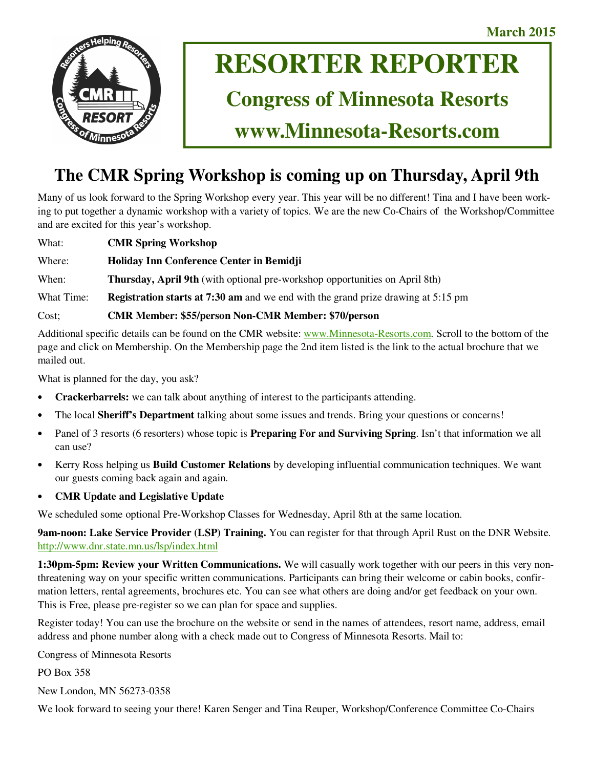**March 2015** 



# **RESORTER REPORTER**

# **Congress of Minnesota Resorts**

**www.Minnesota-Resorts.com** 

# **The CMR Spring Workshop is coming up on Thursday, April 9th**

Many of us look forward to the Spring Workshop every year. This year will be no different! Tina and I have been working to put together a dynamic workshop with a variety of topics. We are the new Co-Chairs of the Workshop/Committee and are excited for this year's workshop.

What: **CMR Spring Workshop**

Where: **Holiday Inn Conference Center in Bemidji**

When: **Thursday, April 9th** (with optional pre-workshop opportunities on April 8th)

What Time: **Registration starts at 7:30 am** and we end with the grand prize drawing at 5:15 pm

Cost; **CMR Member: \$55/person Non-CMR Member: \$70/person**

Additional specific details can be found on the CMR website: www.Minnesota-Resorts.com. Scroll to the bottom of the page and click on Membership. On the Membership page the 2nd item listed is the link to the actual brochure that we mailed out.

What is planned for the day, you ask?

- **Crackerbarrels:** we can talk about anything of interest to the participants attending.
- The local **Sheriff's Department** talking about some issues and trends. Bring your questions or concerns!
- Panel of 3 resorts (6 resorters) whose topic is **Preparing For and Surviving Spring**. Isn't that information we all can use?
- Kerry Ross helping us **Build Customer Relations** by developing influential communication techniques. We want our guests coming back again and again.
- **CMR Update and Legislative Update**

We scheduled some optional Pre-Workshop Classes for Wednesday, April 8th at the same location.

**9am-noon: Lake Service Provider (LSP) Training.** You can register for that through April Rust on the DNR Website. http://www.dnr.state.mn.us/lsp/index.html

**1:30pm-5pm: Review your Written Communications.** We will casually work together with our peers in this very nonthreatening way on your specific written communications. Participants can bring their welcome or cabin books, confirmation letters, rental agreements, brochures etc. You can see what others are doing and/or get feedback on your own. This is Free, please pre-register so we can plan for space and supplies.

Register today! You can use the brochure on the website or send in the names of attendees, resort name, address, email address and phone number along with a check made out to Congress of Minnesota Resorts. Mail to:

Congress of Minnesota Resorts

PO Box 358

New London, MN 56273-0358

We look forward to seeing your there! Karen Senger and Tina Reuper, Workshop/Conference Committee Co-Chairs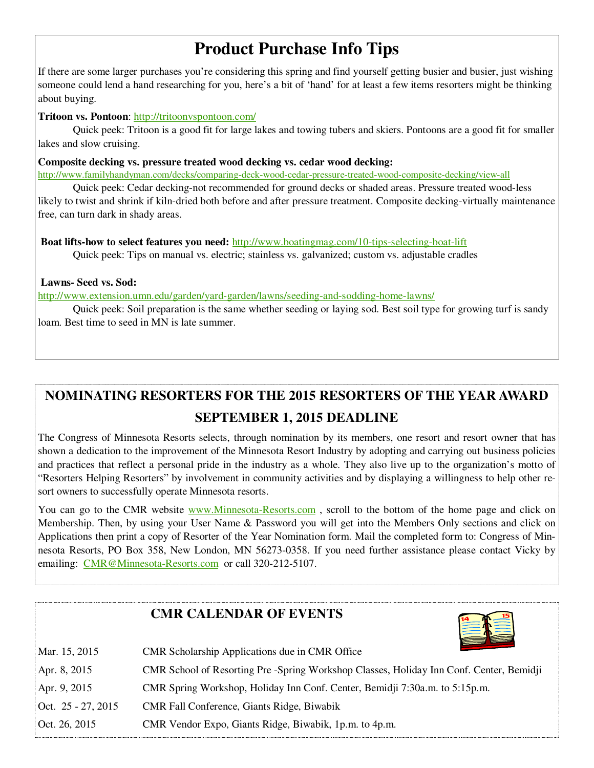# **Product Purchase Info Tips**

If there are some larger purchases you're considering this spring and find yourself getting busier and busier, just wishing someone could lend a hand researching for you, here's a bit of 'hand' for at least a few items resorters might be thinking about buying.

### **Tritoon vs. Pontoon**: http://tritoonvspontoon.com/

 Quick peek: Tritoon is a good fit for large lakes and towing tubers and skiers. Pontoons are a good fit for smaller lakes and slow cruising.

### **Composite decking vs. pressure treated wood decking vs. cedar wood decking:**

http://www.familyhandyman.com/decks/comparing-deck-wood-cedar-pressure-treated-wood-composite-decking/view-all

 Quick peek: Cedar decking-not recommended for ground decks or shaded areas. Pressure treated wood-less likely to twist and shrink if kiln-dried both before and after pressure treatment. Composite decking-virtually maintenance free, can turn dark in shady areas.

**Boat lifts-how to select features you need:** http://www.boatingmag.com/10-tips-selecting-boat-lift Quick peek: Tips on manual vs. electric; stainless vs. galvanized; custom vs. adjustable cradles

### **Lawns- Seed vs. Sod:**

http://www.extension.umn.edu/garden/yard-garden/lawns/seeding-and-sodding-home-lawns/

 Quick peek: Soil preparation is the same whether seeding or laying sod. Best soil type for growing turf is sandy loam. Best time to seed in MN is late summer.

# **NOMINATING RESORTERS FOR THE 2015 RESORTERS OF THE YEAR AWARD SEPTEMBER 1, 2015 DEADLINE**

The Congress of Minnesota Resorts selects, through nomination by its members, one resort and resort owner that has shown a dedication to the improvement of the Minnesota Resort Industry by adopting and carrying out business policies and practices that reflect a personal pride in the industry as a whole. They also live up to the organization's motto of "Resorters Helping Resorters" by involvement in community activities and by displaying a willingness to help other resort owners to successfully operate Minnesota resorts.

You can go to the CMR website www.Minnesota-Resorts.com, scroll to the bottom of the home page and click on Membership. Then, by using your User Name & Password you will get into the Members Only sections and click on Applications then print a copy of Resorter of the Year Nomination form. Mail the completed form to: Congress of Minnesota Resorts, PO Box 358, New London, MN 56273-0358. If you need further assistance please contact Vicky by emailing: CMR@Minnesota-Resorts.com or call 320-212-5107.

## **CMR CALENDAR OF EVENTS**



| Mar. 15, 2015        | CMR Scholarship Applications due in CMR Office                                         |
|----------------------|----------------------------------------------------------------------------------------|
| Apr. 8, 2015         | CMR School of Resorting Pre-Spring Workshop Classes, Holiday Inn Conf. Center, Bemidji |
| Apr. 9, 2015         | CMR Spring Workshop, Holiday Inn Conf. Center, Bemidji 7:30a.m. to 5:15p.m.            |
| Oct. $25 - 27, 2015$ | <b>CMR Fall Conference, Giants Ridge, Biwabik</b>                                      |
| Oct. 26, 2015        | CMR Vendor Expo, Giants Ridge, Biwabik, 1p.m. to 4p.m.                                 |